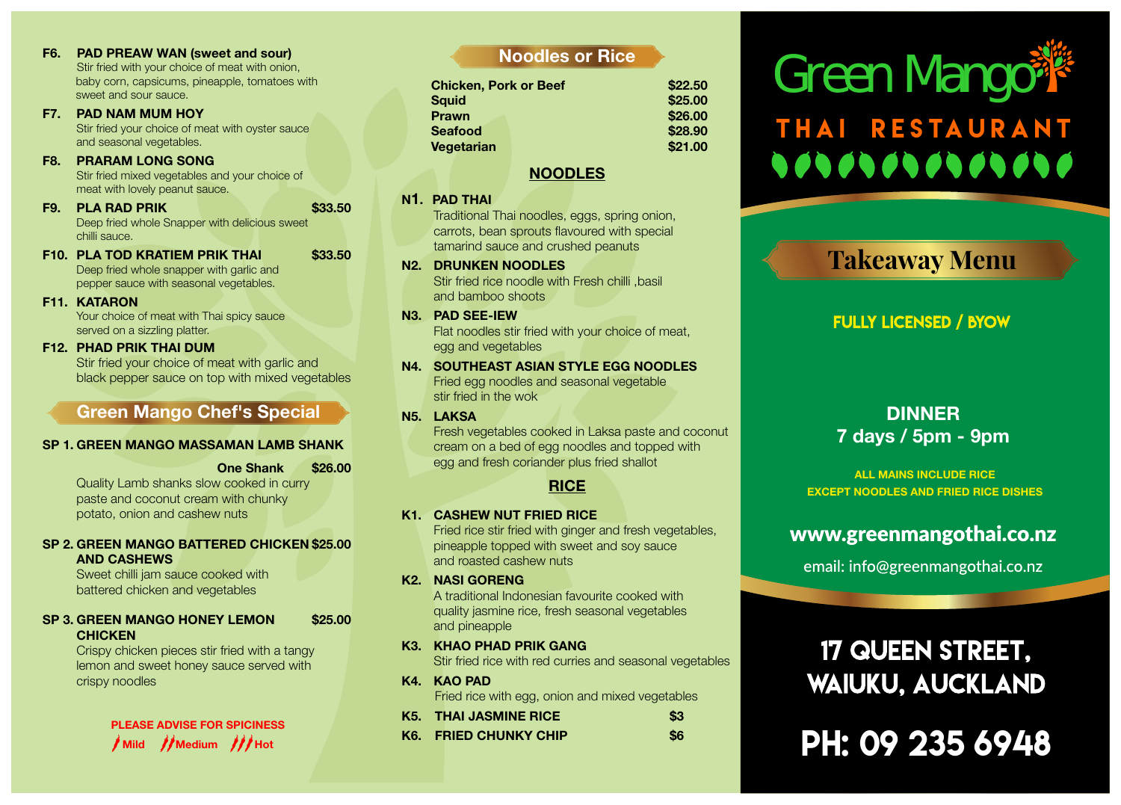- F6. PAD PREAW WAN (sweet and sour)<br>Stir fried with your choice of meat with onion,<br>baby corn, capsicums, pineapple, tomatoes with<br>sweet and sour sauce. Stir fried with your choice of meat with onion, baby corn, capsicums, pineapple, tomatoes with sweet and sour sauce.
- F7. PAD NAM MUM HOY Stir fried your choice of meat with oyster sauce and seasonal vegetables.
- F8. PRARAM LONG SONG Stir fried mixed vegetables and your choice of meat with lovely peanut sauce.
- **F9. PLA RAD PRIK \$33.50** Deep fried whole Snapper with delicious sweet chilli sauce.
- F10. PLA TOD KRATIEM PRIK THAI \$33.50 Deep fried whole snapper with garlic and pepper sauce with seasonal vegetables.
- F11. KATARON

Your choice of meat with Thai spicy sauce served on a sizzling platter.

F12. PHAD PRIK THAI DUM

Stir fried your choice of meat with garlic and black pepper sauce on top with mixed vegetables

# Green Mango Chef's Special

# SP 1. GREEN MANGO MASSAMAN LAMB SHANK

One Shank \$26.00

Quality Lamb shanks slow cooked in curry paste and coconut cream with chunky potato, onion and cashew nuts

# SP 2. GREEN MANGO BATTERED CHICKEN \$25.00 AND CASHEWS

Sweet chilli jam sauce cooked with battered chicken and vegetables

SP 3. GREEN MANGO HONEY LEMON \$25.00 **CHICKEN** 

Crispy chicken pieces stir fried with a tangy lemon and sweet honey sauce served with crispy noodles

# PLEASE ADVISE FOR SPICINESS

# Noodles or Rice

| <b>Chicken, Pork or Beef</b> | \$22.50 |
|------------------------------|---------|
| <b>Sauid</b>                 | \$25.00 |
| <b>Prawn</b>                 | \$26.00 |
| <b>Seafood</b>               | \$28.90 |
| Vegetarian                   | \$21.00 |

# NOODLES

# N1. PAD THAI

Traditional Thai noodles, eggs, spring onion, carrots, bean sprouts flavoured with special tamarind sauce and crushed peanuts

N2. DRUNKEN NOODLES Stir fried rice noodle with Fresh chilli ,basil

and bamboo shoots

N3. PAD SEE-IEW

Flat noodles stir fried with your choice of meat, egg and vegetables

- N4. SOUTHEAST ASIAN STYLE EGG NOODLES Fried egg noodles and seasonal vegetable stir fried in the wok
- N5. LAKSA

Fresh vegetables cooked in Laksa paste and coconut cream on a bed of egg noodles and topped with egg and fresh coriander plus fried shallot

# **RICE**

# K1. CASHEW NUT FRIED RICE

Fried rice stir fried with ginger and fresh vegetables, pineapple topped with sweet and soy sauce and roasted cashew nuts

K2. NASI GORENG

A traditional Indonesian favourite cooked with quality jasmine rice, fresh seasonal vegetables and pineapple

- K3. KHAO PHAD PRIK GANG Stir fried rice with red curries and seasonal vegetables
- K4. KAO PAD Fried rice with egg, onion and mixed vegetables

| K5. THAI JASMINE RICE |     |
|-----------------------|-----|
| K6. FRIED CHUNKY CHIP | \$6 |

# THAI RESTAURANT **90909090909000**

# **Takeaway Menu**

# **FULLY LICENSED / BYOW**

# DINNER 7 days / 5pm - 9pm

ALL MAINS INCLUDE RICE EXCEPT NOODLES AND FRIED RICE DISHES

# www.greenmangothai.co.nz

email: info@greenmangothai.co.nz

# 17 QUEEN STREET, **WAIUKU, AUCKLAND**

 $\frac{1}{\frac{1}{2}}$ Mild  $\frac{1}{\frac{1}{2}}$ Medium  $\frac{1}{\frac{1}{2}}$ Hot K6. FRIED CHUNKY CHIP \$6